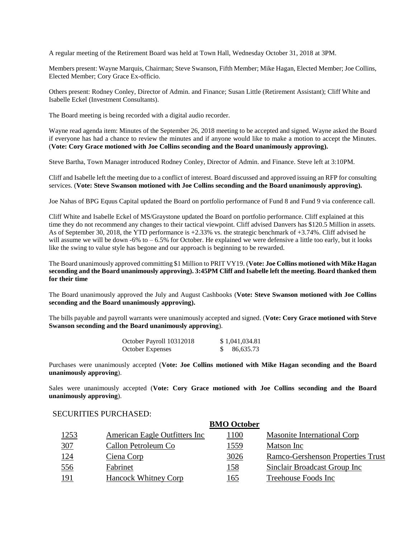A regular meeting of the Retirement Board was held at Town Hall, Wednesday October 31, 2018 at 3PM.

Members present: Wayne Marquis, Chairman; Steve Swanson, Fifth Member; Mike Hagan, Elected Member; Joe Collins, Elected Member; Cory Grace Ex-officio.

Others present: Rodney Conley, Director of Admin. and Finance; Susan Little (Retirement Assistant); Cliff White and Isabelle Eckel (Investment Consultants).

The Board meeting is being recorded with a digital audio recorder.

Wayne read agenda item: Minutes of the September 26, 2018 meeting to be accepted and signed. Wayne asked the Board if everyone has had a chance to review the minutes and if anyone would like to make a motion to accept the Minutes. (**Vote: Cory Grace motioned with Joe Collins seconding and the Board unanimously approving).**

Steve Bartha, Town Manager introduced Rodney Conley, Director of Admin. and Finance. Steve left at 3:10PM.

Cliff and Isabelle left the meeting due to a conflict of interest. Board discussed and approved issuing an RFP for consulting services. (**Vote: Steve Swanson motioned with Joe Collins seconding and the Board unanimously approving).**

Joe Nahas of BPG Equus Capital updated the Board on portfolio performance of Fund 8 and Fund 9 via conference call.

Cliff White and Isabelle Eckel of MS/Graystone updated the Board on portfolio performance. Cliff explained at this time they do not recommend any changes to their tactical viewpoint. Cliff advised Danvers has \$120.5 Million in assets. As of September 30, 2018, the YTD performance is +2.33% vs. the strategic benchmark of +3.74%. Cliff advised he will assume we will be down  $-6\%$  to  $-6.5\%$  for October. He explained we were defensive a little too early, but it looks like the swing to value style has begone and our approach is beginning to be rewarded.

The Board unanimously approved committing \$1 Million to PRIT VY19. (**Vote: Joe Collins motioned with Mike Hagan seconding and the Board unanimously approving). 3:45PM Cliff and Isabelle left the meeting. Board thanked them for their time** 

The Board unanimously approved the July and August Cashbooks (**Vote: Steve Swanson motioned with Joe Collins seconding and the Board unanimously approving).**

The bills payable and payroll warrants were unanimously accepted and signed. (**Vote: Cory Grace motioned with Steve Swanson seconding and the Board unanimously approving**).

| October Payroll 10312018 | \$1,041,034.81 |
|--------------------------|----------------|
| <b>October Expenses</b>  | 86,635.73      |

Purchases were unanimously accepted (**Vote: Joe Collins motioned with Mike Hagan seconding and the Board unanimously approving**).

Sales were unanimously accepted (**Vote: Cory Grace motioned with Joe Collins seconding and the Board unanimously approving**).

#### SECURITIES PURCHASED:

|               |                               | <b>BMO</b> October |                                    |
|---------------|-------------------------------|--------------------|------------------------------------|
| <u> 1253 </u> | American Eagle Outfitters Inc | <u> 1100</u>       | <b>Masonite International Corp</b> |
| 307           | Callon Petroleum Co           | <u> 1559 </u>      | Matson Inc                         |
| <u> 124</u>   | Ciena Corp                    | 3026               | Ramco-Gershenson Properties Trust  |
| <u>556</u>    | Fabrinet                      | <u> 158</u>        | Sinclair Broadcast Group Inc       |
| <u> 191</u>   | Hancock Whitney Corp          | 165                | Treehouse Foods Inc                |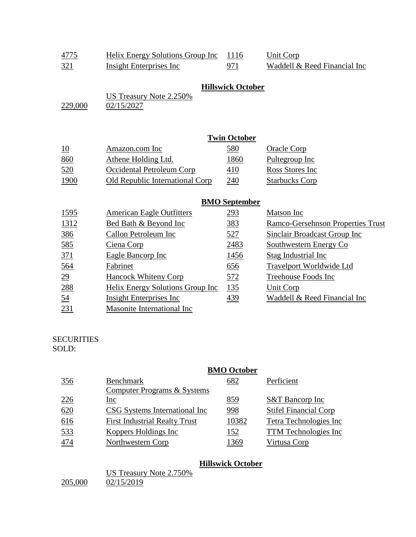| 4775    | Helix Energy Solutions Group Inc      | 1116                     | Unit Corp                    |
|---------|---------------------------------------|--------------------------|------------------------------|
| 321     | Insight Enterprises Inc.              | 971                      | Waddell & Reed Financial Inc |
| 229,000 | US Treasury Note 2.250%<br>02/15/2027 | <b>Hillswick October</b> |                              |

|      |                                 | <b>Twin October</b> |                       |
|------|---------------------------------|---------------------|-----------------------|
| 10   | Amazon.com Inc                  | 580                 | Oracle Corp           |
| 860  | Athene Holding Ltd.             | 1860                | Pultegroup Inc        |
| 520  | Occidental Petroleum Corp       | 410                 | Ross Stores Inc       |
| 1900 | Old Republic International Corp | 240                 | <b>Starbucks Corp</b> |

## **BMO September**

| <u>1595</u>     | <b>American Eagle Outfitters</b> | 293         | Matson Inc                        |
|-----------------|----------------------------------|-------------|-----------------------------------|
| 1312            | Bed Bath & Beyond Inc            | <u>383</u>  | Ramco-Gersehnson Properties Trust |
| <u>386</u>      | Callon Petroleum Inc             | <u>527</u>  | Sinclair Broadcast Group Inc      |
| 585             | Ciena Corp                       | 2483        | Southwestern Energy Co            |
| 371             | Eagle Bancorp Inc                | 1456        | Stag Industrial Inc               |
| 564             | Fabrinet                         | 656         | <b>Travelport Worldwide Ltd</b>   |
| $\overline{29}$ | <b>Hancock Whiteny Corp</b>      | 572         | Treehouse Foods Inc               |
| 288             | Helix Energy Solutions Group Inc | <u> 135</u> | Unit Corp                         |
| 54              | <b>Insight Enterprises Inc.</b>  | 439         | Waddell & Reed Financial Inc      |
| 231             | Masonite International Inc       |             |                                   |

#### SECURITIES SOLD:

|     |                                      | <b>BMO</b> October |                              |
|-----|--------------------------------------|--------------------|------------------------------|
| 356 | <b>Benchmark</b>                     | 682                | Perficient                   |
|     | Computer Programs & Systems          |                    |                              |
| 226 | Inc                                  | 859                | <b>S&amp;T</b> Bancorp Inc   |
| 620 | <b>CSG</b> Systems International Inc | 998                | <b>Stifel Financial Corp</b> |
| 616 | <b>First Industrial Realty Trust</b> | 10382              | Tetra Technologies Inc       |
| 533 | Koppers Holdings Inc                 | 152                | <b>TTM</b> Technologies Inc  |
| 474 | Northwestern Corp                    | 1369               | Virtusa Corp                 |

## **Hillswick October**

|         | US Treasury Note 2.750% |
|---------|-------------------------|
| 205,000 | 02/15/2019              |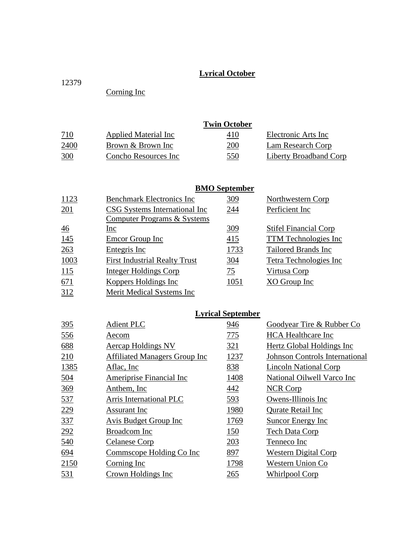# **Lyrical October**

Corning Inc

|            |                      | <b>Twin October</b> |                        |
|------------|----------------------|---------------------|------------------------|
| <u>710</u> | Applied Material Inc | 410                 | Electronic Arts Inc    |
| 2400       | Brown & Brown Inc    | 200                 | Lam Research Corp      |
| 300        | Concho Resources Inc | 550                 | Liberty Broadband Corp |

# **BMO September**

| 1123           | <b>Benchmark Electronics Inc</b>     | 309        | <b>Northwestern Corp</b>     |
|----------------|--------------------------------------|------------|------------------------------|
| 201            | CSG Systems International Inc        | <u>244</u> | Perficient Inc               |
|                | Computer Programs & Systems          |            |                              |
| $\frac{46}{5}$ | Inc                                  | 309        | <b>Stifel Financial Corp</b> |
| 145            | Emcor Group Inc                      | 415        | TTM Technologies Inc         |
| 263            | Entegris Inc                         | 1733       | Tailored Brands Inc          |
| 1003           | <b>First Industrial Realty Trust</b> | 304        | Tetra Technologies Inc       |
| 115            | Integer Holdings Corp                | 75         | Virtusa Corp                 |
| 671            | Koppers Holdings Inc                 | 1051       | XO Group Inc                 |
| 312            | Merit Medical Systems Inc            |            |                              |
|                |                                      |            |                              |

## **Lyrical September**

| 395        | <b>Adient PLC</b>                    | 946  | Goodyear Tire & Rubber Co             |
|------------|--------------------------------------|------|---------------------------------------|
| 556        | Aecom                                | 775  | <b>HCA</b> Healthcare Inc             |
| 688        | Aercap Holdings NV                   | 321  | Hertz Global Holdings Inc             |
| 210        | <b>Affiliated Managers Group Inc</b> | 1237 | <b>Johnson Controls International</b> |
| 1385       | Aflac, Inc.                          | 838  | Lincoln National Corp                 |
| <u>504</u> | Ameriprise Financial Inc             | 1408 | National Oilwell Varco Inc            |
| 369        | Anthem, Inc.                         | 442  | <b>NCR Corp</b>                       |
| 537        | Arris International PLC              | 593  | Owens-Illinois Inc                    |
| 229        | Assurant Inc                         | 1980 | Qurate Retail Inc                     |
| 337        | Avis Budget Group Inc                | 1769 | Suncor Energy Inc                     |
| 292        | Broadcom Inc                         | 150  | <b>Tech Data Corp</b>                 |
| 540        | Celanese Corp                        | 203  | Tenneco Inc                           |
| 694        | Commscope Holding Co Inc             | 897  | <b>Western Digital Corp</b>           |
| 2150       | Corning Inc                          | 1798 | Western Union Co                      |
| 531        | Crown Holdings Inc                   | 265  | <b>Whirlpool Corp</b>                 |
|            |                                      |      |                                       |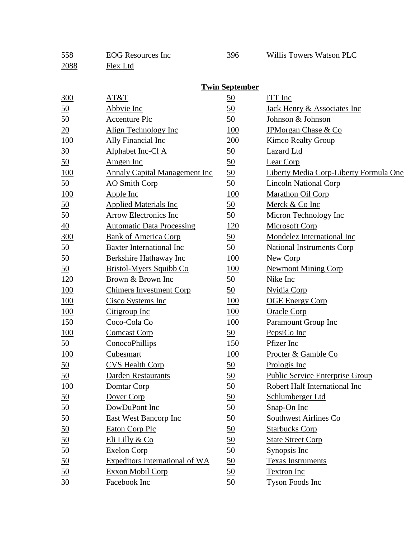| <u>558</u>       | <b>EOG</b> Resources Inc             | 396                   | <b>Willis Towers Watson PLC</b>               |
|------------------|--------------------------------------|-----------------------|-----------------------------------------------|
| 2088             | Flex Ltd                             |                       |                                               |
|                  |                                      |                       |                                               |
|                  |                                      | <b>Twin September</b> |                                               |
| 300              | AT&T                                 | $\underline{50}$      | <b>ITT</b> Inc                                |
| <u>50</u>        | Abbvie Inc                           | $\underline{50}$      | <b>Jack Henry &amp; Associates Inc</b>        |
| <u>50</u>        | <b>Accenture Plc</b>                 | $\underline{50}$      | Johnson & Johnson                             |
| $\overline{20}$  | Align Technology Inc                 | <u>100</u>            | <b>JPMorgan Chase &amp; Co</b>                |
| <u>100</u>       | <b>Ally Financial Inc</b>            | 200                   | <b>Kimco Realty Group</b>                     |
| $\frac{30}{5}$   | Alphabet Inc-Cl A                    | $\underline{50}$      | Lazard Ltd                                    |
| <u>50</u>        | Amgen Inc                            | <u>50</u>             | Lear Corp                                     |
| <u>100</u>       | <b>Annaly Capital Management Inc</b> | 50                    | <b>Liberty Media Corp-Liberty Formula One</b> |
| 50               | <b>AO</b> Smith Corp                 | 50                    | <b>Lincoln National Corp</b>                  |
| 100              | Apple Inc                            | 100                   | Marathon Oil Corp                             |
| <u>50</u>        | <b>Applied Materials Inc</b>         | 50                    | Merck & Co Inc                                |
| 50               | Arrow Electronics Inc                | 50                    | Micron Technology Inc                         |
| $\overline{40}$  | <b>Automatic Data Processing</b>     | <u>120</u>            | <b>Microsoft Corp</b>                         |
| 300              | <b>Bank of America Corp</b>          | $\underline{50}$      | Mondelez International Inc                    |
| <u>50</u>        | <b>Baxter International Inc</b>      | 50                    | <b>National Instruments Corp</b>              |
| <u>50</u>        | Berkshire Hathaway Inc               | 100                   | New Corp                                      |
| 50               | Bristol-Myers Squibb Co              | <b>100</b>            | <b>Newmont Mining Corp</b>                    |
| <u>120</u>       | Brown & Brown Inc                    | $\underline{50}$      | Nike Inc                                      |
| <u>100</u>       | <b>Chimera Investment Corp</b>       | $\underline{50}$      | <b>Nvidia Corp</b>                            |
| <b>100</b>       | Cisco Systems Inc                    | 100                   | <b>OGE Energy Corp</b>                        |
| <u>100</u>       | Citigroup Inc                        | <u>100</u>            | <b>Oracle Corp</b>                            |
| 150              | Coco-Cola Co                         | 100                   | <b>Paramount Group Inc</b>                    |
| 100              | <b>Comcast Corp</b>                  | $\underline{50}$      | PepsiCo Inc                                   |
| 50               | ConocoPhillips                       | 150                   | Pfizer Inc                                    |
| 100              | <b>Cubesmart</b>                     | 100                   | <u>Procter &amp; Gamble Co</u>                |
| $\underline{50}$ | <b>CVS Health Corp</b>               | $\underline{50}$      | Prologis Inc                                  |
| $\underline{50}$ | Darden Restaurants                   | $\underline{50}$      | Public Service Enterprise Group               |
| <u>100</u>       | Domtar Corp                          | 50                    | Robert Half International Inc                 |
| <u>50</u>        | Dover Corp                           | $\underline{50}$      | Schlumberger Ltd                              |
| $\underline{50}$ | DowDuPont Inc                        | $\underline{50}$      | Snap-On Inc                                   |
| $\underline{50}$ | East West Bancorp Inc                | $\underline{50}$      | Southwest Airlines Co                         |
| $\underline{50}$ | Eaton Corp Plc                       | $\underline{50}$      | <b>Starbucks Corp</b>                         |
| $\underline{50}$ | Eli Lilly & Co                       | $\underline{50}$      | <b>State Street Corp</b>                      |
| $\underline{50}$ | <b>Exelon Corp</b>                   | $\underline{50}$      | Synopsis Inc                                  |
| $\underline{50}$ | Expeditors International of WA       | $\underline{50}$      | <b>Texas Instruments</b>                      |
| 50               | Exxon Mobil Corp                     | 50                    | <b>Textron Inc</b>                            |
| $\frac{30}{2}$   | Facebook Inc                         | 50                    | <b>Tyson Foods Inc</b>                        |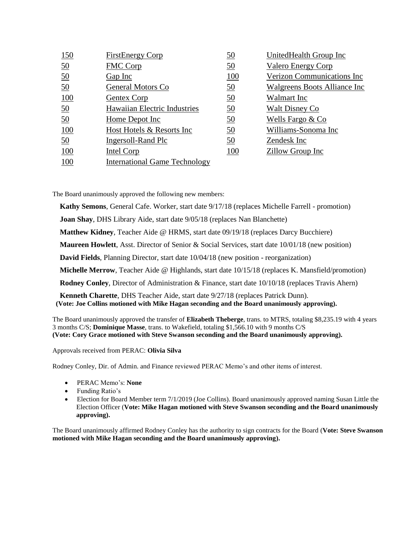| <u>150</u>       | <b>FirstEnergy Corp</b>              | <u>50</u>  | <b>UnitedHealth Group Inc</b> |
|------------------|--------------------------------------|------------|-------------------------------|
| $\underline{50}$ | <b>FMC Corp</b>                      | <u>50</u>  | <b>Valero Energy Corp</b>     |
| $\underline{50}$ | $Gap$ Inc                            | <u>100</u> | Verizon Communications Inc    |
| <u>50</u>        | General Motors Co                    | <u>50</u>  | Walgreens Boots Alliance Inc  |
| 100              | <b>Gentex Corp</b>                   | <u>50</u>  | Walmart Inc                   |
| $\underline{50}$ | Hawaiian Electric Industries         | <u>50</u>  | <b>Walt Disney Co</b>         |
| 50               | Home Depot Inc                       | <u>50</u>  | Wells Fargo & Co              |
| 100              | Host Hotels & Resorts Inc            | <u>50</u>  | Williams-Sonoma Inc           |
| <u>50</u>        | Ingersoll-Rand Plc                   | <u>50</u>  | Zendesk Inc                   |
| <u>100</u>       | <b>Intel Corp</b>                    | 100        | Zillow Group Inc              |
| <b>100</b>       | <b>International Game Technology</b> |            |                               |

The Board unanimously approved the following new members:

**Kathy Semons**, General Cafe. Worker, start date 9/17/18 (replaces Michelle Farrell - promotion)

**Joan Shay**, DHS Library Aide, start date 9/05/18 (replaces Nan Blanchette)

**Matthew Kidney**, Teacher Aide @ HRMS, start date 09/19/18 (replaces Darcy Bucchiere)

**Maureen Howlett**, Asst. Director of Senior & Social Services, start date 10/01/18 (new position)

**David Fields**, Planning Director, start date 10/04/18 (new position - reorganization)

**Michelle Merrow**, Teacher Aide @ Highlands, start date 10/15/18 (replaces K. Mansfield/promotion)

**Rodney Conley**, Director of Administration & Finance, start date 10/10/18 (replaces Travis Ahern)

**Kenneth Charette**, DHS Teacher Aide, start date 9/27/18 (replaces Patrick Dunn). **(Vote: Joe Collins motioned with Mike Hagan seconding and the Board unanimously approving).**

The Board unanimously approved the transfer of **Elizabeth Theberge**, trans. to MTRS, totaling \$8,235.19 with 4 years 3 months C/S; **Dominique Masse**, trans. to Wakefield, totaling \$1,566.10 with 9 months C/S **(Vote: Cory Grace motioned with Steve Swanson seconding and the Board unanimously approving).**

Approvals received from PERAC: **Olivia Silva**

Rodney Conley, Dir. of Admin. and Finance reviewed PERAC Memo's and other items of interest.

- PERAC Memo's: **None**
- Funding Ratio's
- Election for Board Member term 7/1/2019 (Joe Collins). Board unanimously approved naming Susan Little the Election Officer (**Vote: Mike Hagan motioned with Steve Swanson seconding and the Board unanimously approving).**

The Board unanimously affirmed Rodney Conley has the authority to sign contracts for the Board (**Vote: Steve Swanson motioned with Mike Hagan seconding and the Board unanimously approving).**